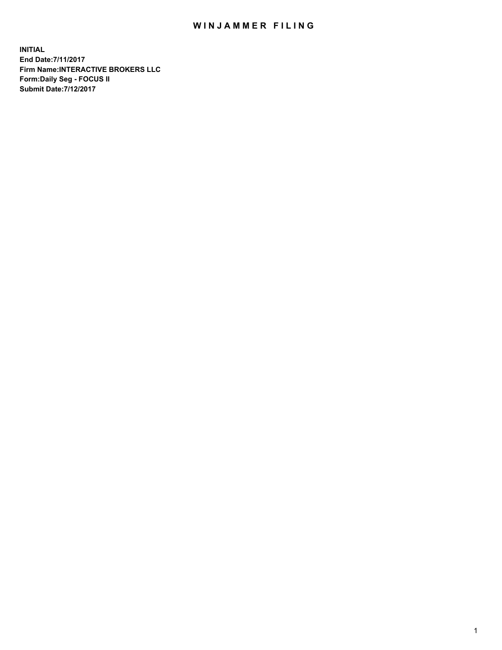## WIN JAMMER FILING

**INITIAL End Date:7/11/2017 Firm Name:INTERACTIVE BROKERS LLC Form:Daily Seg - FOCUS II Submit Date:7/12/2017**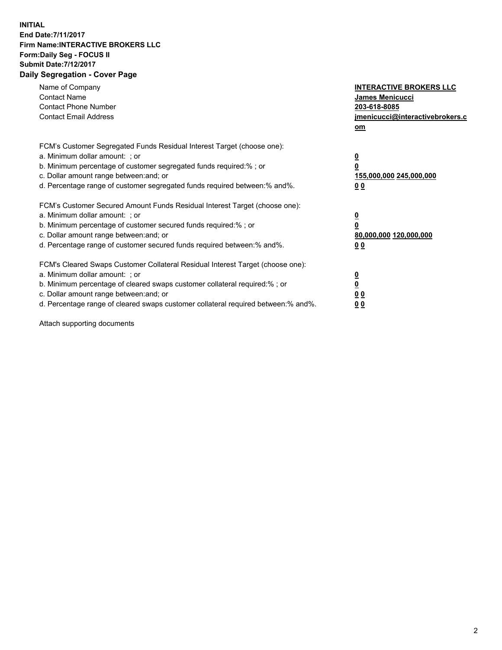## **INITIAL End Date:7/11/2017 Firm Name:INTERACTIVE BROKERS LLC Form:Daily Seg - FOCUS II Submit Date:7/12/2017 Daily Segregation - Cover Page**

| Name of Company<br><b>Contact Name</b><br><b>Contact Phone Number</b><br><b>Contact Email Address</b>                                                                                                                                                                                                                          | <b>INTERACTIVE BROKERS LLC</b><br>James Menicucci<br>203-618-8085<br>jmenicucci@interactivebrokers.c<br>om |
|--------------------------------------------------------------------------------------------------------------------------------------------------------------------------------------------------------------------------------------------------------------------------------------------------------------------------------|------------------------------------------------------------------------------------------------------------|
| FCM's Customer Segregated Funds Residual Interest Target (choose one):<br>a. Minimum dollar amount: ; or<br>b. Minimum percentage of customer segregated funds required:%; or<br>c. Dollar amount range between: and; or<br>d. Percentage range of customer segregated funds required between:% and%.                          | $\overline{\mathbf{0}}$<br>0<br>155,000,000 245,000,000<br>0 <sub>0</sub>                                  |
| FCM's Customer Secured Amount Funds Residual Interest Target (choose one):<br>a. Minimum dollar amount: ; or<br>b. Minimum percentage of customer secured funds required:%; or<br>c. Dollar amount range between: and; or<br>d. Percentage range of customer secured funds required between:% and%.                            | $\overline{\mathbf{0}}$<br>$\overline{\mathbf{0}}$<br>80,000,000 120,000,000<br>00                         |
| FCM's Cleared Swaps Customer Collateral Residual Interest Target (choose one):<br>a. Minimum dollar amount: ; or<br>b. Minimum percentage of cleared swaps customer collateral required:% ; or<br>c. Dollar amount range between: and; or<br>d. Percentage range of cleared swaps customer collateral required between:% and%. | $\overline{\mathbf{0}}$<br>$\overline{\mathbf{0}}$<br>0 <sub>0</sub><br><u>00</u>                          |

Attach supporting documents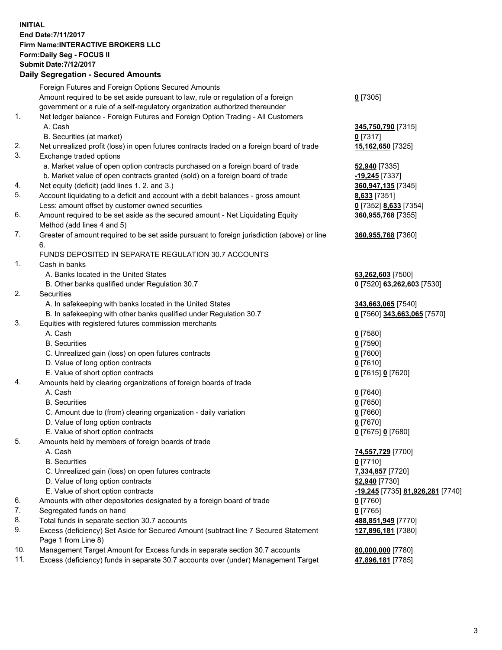## **INITIAL End Date:7/11/2017 Firm Name:INTERACTIVE BROKERS LLC Form:Daily Seg - FOCUS II Submit Date:7/12/2017 Daily Segregation - Secured Amounts**

|          | Daily Segregation - Secured Amounts                                                         |                                  |
|----------|---------------------------------------------------------------------------------------------|----------------------------------|
|          | Foreign Futures and Foreign Options Secured Amounts                                         |                                  |
|          | Amount required to be set aside pursuant to law, rule or regulation of a foreign            | $0$ [7305]                       |
|          | government or a rule of a self-regulatory organization authorized thereunder                |                                  |
| 1.       | Net ledger balance - Foreign Futures and Foreign Option Trading - All Customers             |                                  |
|          | A. Cash                                                                                     | 345,750,790 [7315]               |
|          | B. Securities (at market)                                                                   | $0$ [7317]                       |
| 2.       | Net unrealized profit (loss) in open futures contracts traded on a foreign board of trade   | 15,162,650 [7325]                |
| 3.       | Exchange traded options                                                                     |                                  |
|          |                                                                                             |                                  |
|          | a. Market value of open option contracts purchased on a foreign board of trade              | <b>52,940</b> [7335]             |
|          | b. Market value of open contracts granted (sold) on a foreign board of trade                | -19,245 [7337]                   |
| 4.<br>5. | Net equity (deficit) (add lines 1. 2. and 3.)                                               | 360,947,135 [7345]               |
|          | Account liquidating to a deficit and account with a debit balances - gross amount           | 8,633 [7351]                     |
|          | Less: amount offset by customer owned securities                                            | 0 [7352] 8,633 [7354]            |
| 6.       | Amount required to be set aside as the secured amount - Net Liquidating Equity              | 360,955,768 [7355]               |
|          | Method (add lines 4 and 5)                                                                  |                                  |
| 7.       | Greater of amount required to be set aside pursuant to foreign jurisdiction (above) or line | 360,955,768 [7360]               |
|          | 6.                                                                                          |                                  |
|          | FUNDS DEPOSITED IN SEPARATE REGULATION 30.7 ACCOUNTS                                        |                                  |
| 1.       | Cash in banks                                                                               |                                  |
|          | A. Banks located in the United States                                                       | 63,262,603 [7500]                |
|          | B. Other banks qualified under Regulation 30.7                                              | 0 [7520] 63,262,603 [7530]       |
| 2.       | Securities                                                                                  |                                  |
|          | A. In safekeeping with banks located in the United States                                   | 343,663,065 [7540]               |
|          | B. In safekeeping with other banks qualified under Regulation 30.7                          | 0 [7560] 343,663,065 [7570]      |
| 3.       | Equities with registered futures commission merchants                                       |                                  |
|          | A. Cash                                                                                     | $0$ [7580]                       |
|          | <b>B.</b> Securities                                                                        | $0$ [7590]                       |
|          | C. Unrealized gain (loss) on open futures contracts                                         | $0$ [7600]                       |
|          | D. Value of long option contracts                                                           | $0$ [7610]                       |
|          | E. Value of short option contracts                                                          | 0 [7615] 0 [7620]                |
| 4.       | Amounts held by clearing organizations of foreign boards of trade                           |                                  |
|          | A. Cash                                                                                     | $0$ [7640]                       |
|          | <b>B.</b> Securities                                                                        | $0$ [7650]                       |
|          | C. Amount due to (from) clearing organization - daily variation                             | $0$ [7660]                       |
|          | D. Value of long option contracts                                                           | $0$ [7670]                       |
|          | E. Value of short option contracts                                                          | 0 [7675] 0 [7680]                |
| 5.       | Amounts held by members of foreign boards of trade                                          |                                  |
|          | A. Cash                                                                                     | 74,557,729 [7700]                |
|          | <b>B.</b> Securities                                                                        | $0$ [7710]                       |
|          | C. Unrealized gain (loss) on open futures contracts                                         | 7,334,857 [7720]                 |
|          | D. Value of long option contracts                                                           | 52,940 [7730]                    |
|          | E. Value of short option contracts                                                          | -19,245 [7735] 81,926,281 [7740] |
| 6.       | Amounts with other depositories designated by a foreign board of trade                      | 0 [7760]                         |
| 7.       | Segregated funds on hand                                                                    | $0$ [7765]                       |
| 8.       | Total funds in separate section 30.7 accounts                                               | 488,851,949 [7770]               |
| 9.       | Excess (deficiency) Set Aside for Secured Amount (subtract line 7 Secured Statement         | 127,896,181 [7380]               |
|          | Page 1 from Line 8)                                                                         |                                  |
| 10.      | Management Target Amount for Excess funds in separate section 30.7 accounts                 | 80,000,000 [7780]                |
| 11.      | Excess (deficiency) funds in separate 30.7 accounts over (under) Management Target          | 47,896,181 [7785]                |
|          |                                                                                             |                                  |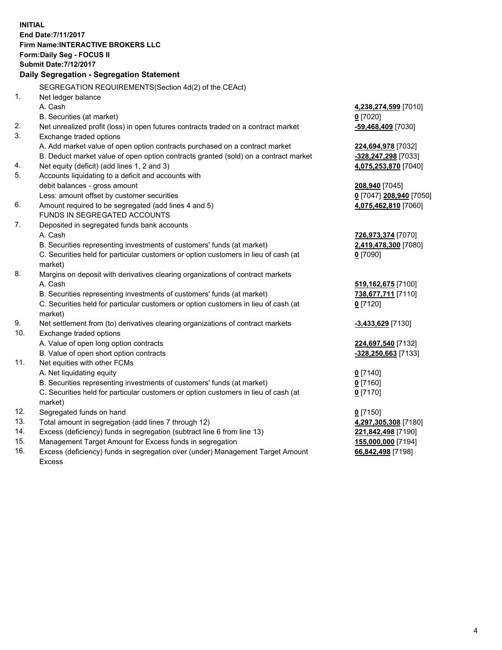**INITIAL End Date:7/11/2017 Firm Name:INTERACTIVE BROKERS LLC Form:Daily Seg - FOCUS II Submit Date:7/12/2017 Daily Segregation - Segregation Statement** SEGREGATION REQUIREMENTS(Section 4d(2) of the CEAct) 1. Net ledger balance A. Cash **4,238,274,599** [7010] B. Securities (at market) **0** [7020] 2. Net unrealized profit (loss) in open futures contracts traded on a contract market **-59,468,409** [7030] 3. Exchange traded options A. Add market value of open option contracts purchased on a contract market **224,694,978** [7032] B. Deduct market value of open option contracts granted (sold) on a contract market **-328,247,298** [7033] 4. Net equity (deficit) (add lines 1, 2 and 3) **4,075,253,870** [7040] 5. Accounts liquidating to a deficit and accounts with debit balances - gross amount **208,940** [7045] Less: amount offset by customer securities **0** [7047] **208,940** [7050] 6. Amount required to be segregated (add lines 4 and 5) **4,075,462,810** [7060] FUNDS IN SEGREGATED ACCOUNTS 7. Deposited in segregated funds bank accounts A. Cash **726,973,374** [7070] B. Securities representing investments of customers' funds (at market) **2,419,478,300** [7080] C. Securities held for particular customers or option customers in lieu of cash (at market) **0** [7090] 8. Margins on deposit with derivatives clearing organizations of contract markets A. Cash **519,162,675** [7100] B. Securities representing investments of customers' funds (at market) **738,677,711** [7110] C. Securities held for particular customers or option customers in lieu of cash (at market) **0** [7120] 9. Net settlement from (to) derivatives clearing organizations of contract markets **-3,433,629** [7130] 10. Exchange traded options A. Value of open long option contracts **224,697,540** [7132] B. Value of open short option contracts **-328,250,663** [7133] 11. Net equities with other FCMs A. Net liquidating equity **0** [7140] B. Securities representing investments of customers' funds (at market) **0** [7160] C. Securities held for particular customers or option customers in lieu of cash (at market) **0** [7170] 12. Segregated funds on hand **0** [7150] 13. Total amount in segregation (add lines 7 through 12) **4,297,305,308** [7180] 14. Excess (deficiency) funds in segregation (subtract line 6 from line 13) **221,842,498** [7190] 15. Management Target Amount for Excess funds in segregation **155,000,000** [7194]

16. Excess (deficiency) funds in segregation over (under) Management Target Amount Excess

**66,842,498** [7198]